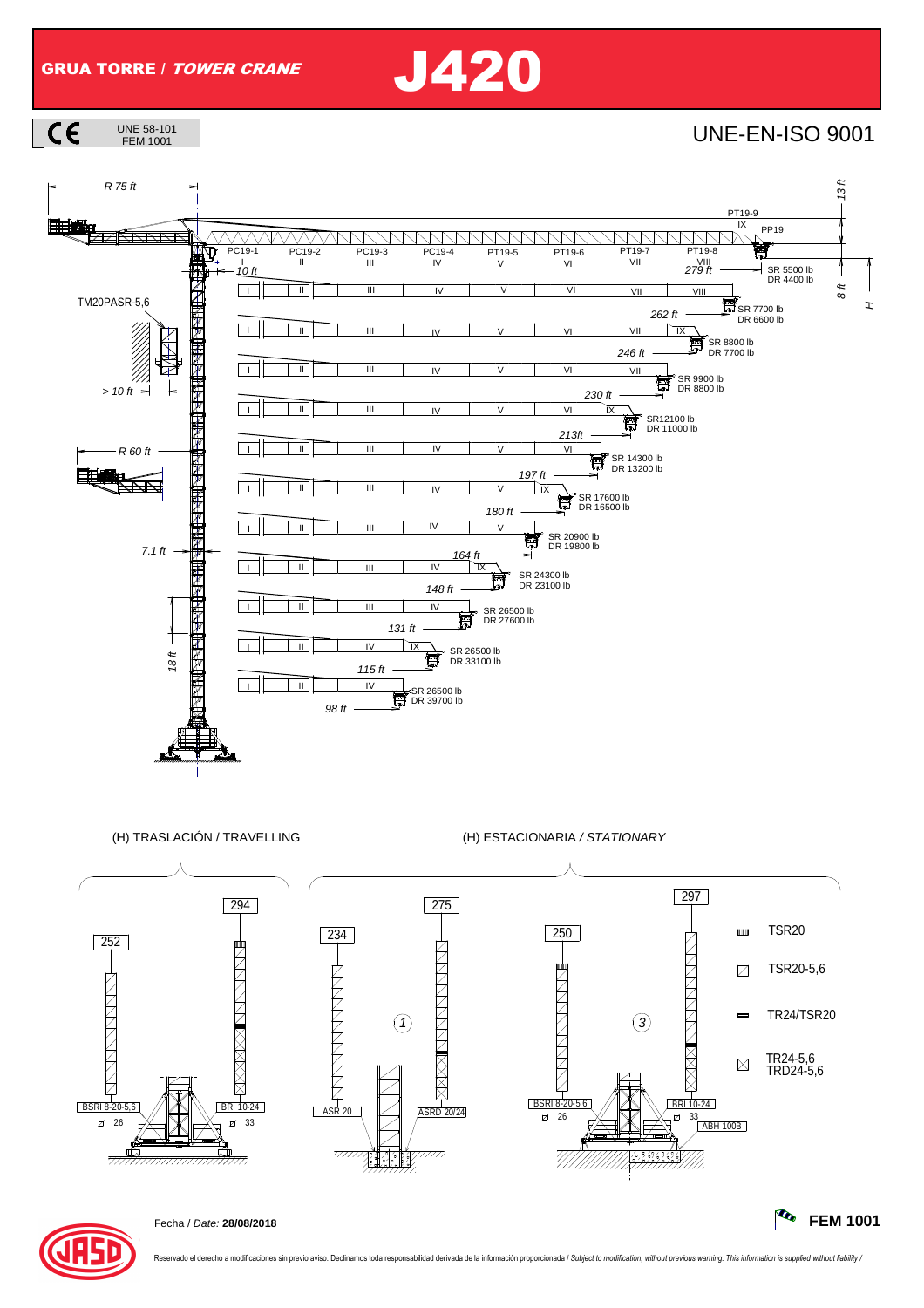GRUA TORRE / TOWER CRANE J420









Fecha / Date: **28/08/2018 FEM 1001**

ado el derecho a modificaciones sin previo aviso. Declinamos toda responsabilidad derivada de la información proporcionada / Subject to modification, without previous warning. This information is supplied without liability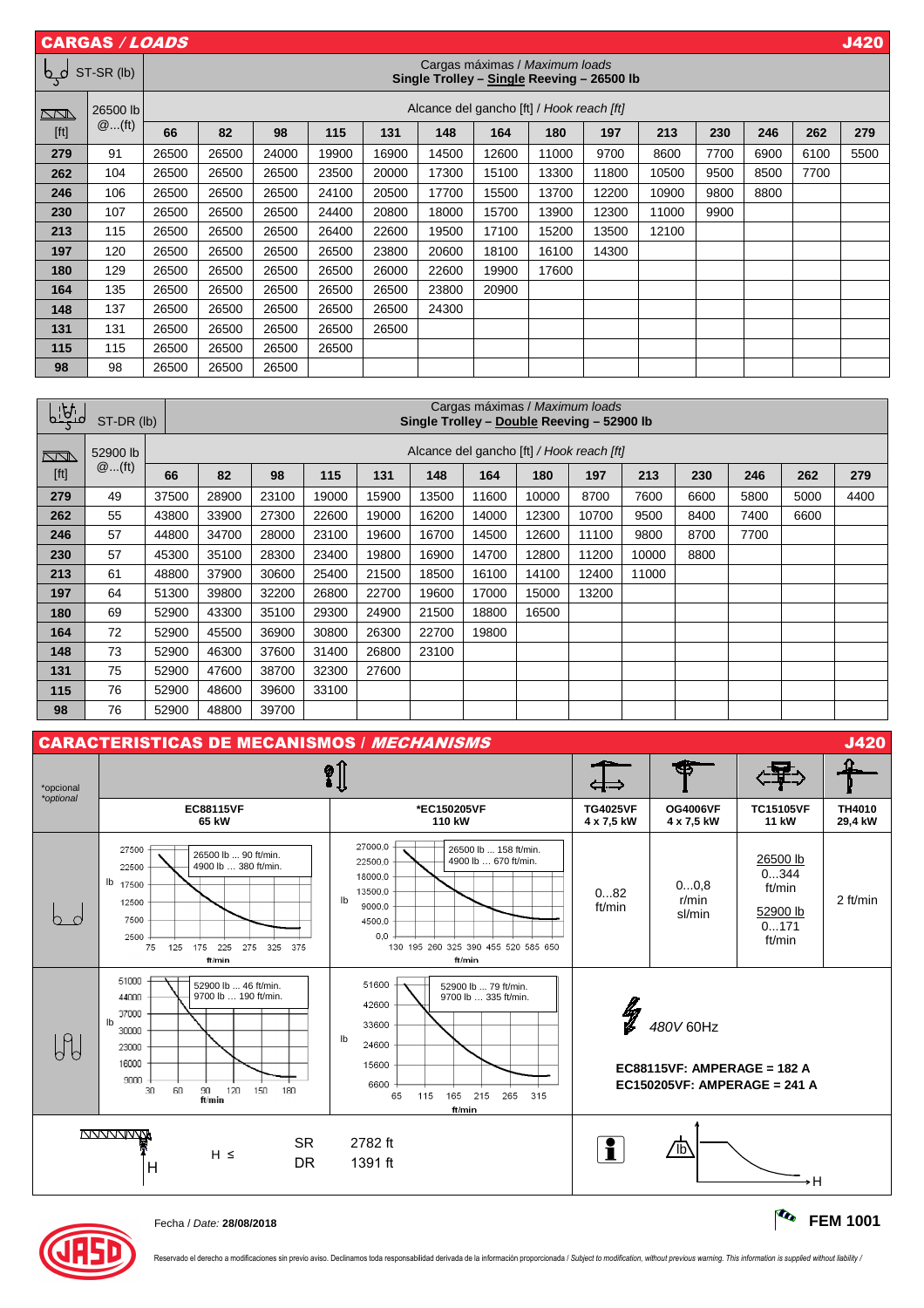|        | <b>CARGAS / LOADS</b> |       |                                                                              |       |       |       |       |       |                          |       |       |      |      |      | <b>J420</b> |
|--------|-----------------------|-------|------------------------------------------------------------------------------|-------|-------|-------|-------|-------|--------------------------|-------|-------|------|------|------|-------------|
| لمہا   | ST-SR (lb)            |       | Cargas máximas / Maximum loads<br>Single Trolley - Single Reeving - 26500 lb |       |       |       |       |       |                          |       |       |      |      |      |             |
| $\Box$ | 26500 lb              |       | Alcance del gancho [ft] / Hook reach [ft]                                    |       |       |       |       |       |                          |       |       |      |      |      |             |
| [ft]   | $@$ (ft)              | 66    | 82                                                                           | 98    | 115   | 131   | 148   | 164   | 180                      | 197   | 213   | 230  | 246  | 262  | 279         |
| 279    | 91                    | 26500 | 26500                                                                        | 24000 | 19900 | 16900 | 14500 | 12600 | 11000                    | 9700  | 8600  | 7700 | 6900 | 6100 | 5500        |
| 262    | 104                   | 26500 | 26500                                                                        | 26500 | 23500 | 20000 | 17300 | 15100 | 13300                    | 11800 | 10500 | 9500 | 8500 | 7700 |             |
| 246    | 106                   | 26500 | 26500                                                                        | 26500 | 24100 | 20500 | 17700 | 15500 | 13700                    | 12200 | 10900 | 9800 | 8800 | —    |             |
| 230    | 107                   | 26500 | 26500                                                                        | 26500 | 24400 | 20800 | 18000 | 15700 | 13900                    | 12300 | 11000 | 9900 | __   |      |             |
| 213    | 115                   | 26500 | 26500                                                                        | 26500 | 26400 | 22600 | 19500 | 17100 | 15200                    | 13500 | 12100 |      |      |      |             |
| 197    | 120                   | 26500 | 26500                                                                        | 26500 | 26500 | 23800 | 20600 | 18100 | 16100                    | 14300 |       |      |      |      |             |
| 180    | 129                   | 26500 | 26500                                                                        | 26500 | 26500 | 26000 | 22600 | 19900 | 17600                    |       |       |      |      |      |             |
| 164    | 135                   | 26500 | 26500                                                                        | 26500 | 26500 | 26500 | 23800 | 20900 | $\overline{\phantom{0}}$ |       |       |      |      |      |             |
| 148    | 137                   | 26500 | 26500                                                                        | 26500 | 26500 | 26500 | 24300 |       |                          |       |       |      |      |      |             |
| 131    | 131                   | 26500 | 26500                                                                        | 26500 | 26500 | 26500 |       |       |                          |       |       |      |      |      |             |
| 115    | 115                   | 26500 | 26500                                                                        | 26500 | 26500 |       |       |       |                          |       |       |      |      |      |             |
| 98     | 98                    | 26500 | 26500                                                                        | 26500 |       |       |       |       |                          |       |       |      |      |      |             |

| <u>    bi</u>                                                                                                                                                                                                         | Cargas máximas / Maximum loads<br>ST-DR (lb)<br>Single Trolley - Double Reeving - 52900 lb |       |                                           |       |       |       |       |       |       |       |       |      |      |                          |      |
|-----------------------------------------------------------------------------------------------------------------------------------------------------------------------------------------------------------------------|--------------------------------------------------------------------------------------------|-------|-------------------------------------------|-------|-------|-------|-------|-------|-------|-------|-------|------|------|--------------------------|------|
| $\sum$                                                                                                                                                                                                                | 52900 lb                                                                                   |       | Alcance del gancho [ft] / Hook reach [ft] |       |       |       |       |       |       |       |       |      |      |                          |      |
| $[ft] % \begin{center} % \includegraphics[width=\linewidth]{imagesSupplemental_3.png} % \end{center} % \caption { % Our method is used for the method. % The method is used in the text. % } % \label{fig:example} %$ | $@$ (ft)                                                                                   | 66    | 82                                        | 98    | 115   | 131   | 148   | 164   | 180   | 197   | 213   | 230  | 246  | 262                      | 279  |
| 279                                                                                                                                                                                                                   | 49                                                                                         | 37500 | 28900                                     | 23100 | 19000 | 15900 | 13500 | 11600 | 10000 | 8700  | 7600  | 6600 | 5800 | 5000                     | 4400 |
| 262                                                                                                                                                                                                                   | 55                                                                                         | 43800 | 33900                                     | 27300 | 22600 | 19000 | 16200 | 14000 | 12300 | 10700 | 9500  | 8400 | 7400 | 6600                     |      |
| 246                                                                                                                                                                                                                   | 57                                                                                         | 44800 | 34700                                     | 28000 | 23100 | 19600 | 16700 | 14500 | 12600 | 11100 | 9800  | 8700 | 7700 | $\overline{\phantom{0}}$ |      |
| 230                                                                                                                                                                                                                   | 57                                                                                         | 45300 | 35100                                     | 28300 | 23400 | 19800 | 16900 | 14700 | 12800 | 11200 | 10000 | 8800 |      |                          |      |
| 213                                                                                                                                                                                                                   | 61                                                                                         | 48800 | 37900                                     | 30600 | 25400 | 21500 | 18500 | 16100 | 14100 | 12400 | 11000 | _    |      |                          |      |
| 197                                                                                                                                                                                                                   | 64                                                                                         | 51300 | 39800                                     | 32200 | 26800 | 22700 | 19600 | 17000 | 15000 | 13200 | سند   |      |      |                          |      |
| 180                                                                                                                                                                                                                   | 69                                                                                         | 52900 | 43300                                     | 35100 | 29300 | 24900 | 21500 | 18800 | 16500 |       |       |      |      |                          |      |
| 164                                                                                                                                                                                                                   | 72                                                                                         | 52900 | 45500                                     | 36900 | 30800 | 26300 | 22700 | 19800 |       |       |       |      |      |                          |      |
| 148                                                                                                                                                                                                                   | 73                                                                                         | 52900 | 46300                                     | 37600 | 31400 | 26800 | 23100 |       |       |       |       |      |      |                          |      |
| 131                                                                                                                                                                                                                   | 75                                                                                         | 52900 | 47600                                     | 38700 | 32300 | 27600 |       |       |       |       |       |      |      |                          |      |
| 115                                                                                                                                                                                                                   | 76                                                                                         | 52900 | 48600                                     | 39600 | 33100 | —     |       |       |       |       |       |      |      |                          |      |
| 98                                                                                                                                                                                                                    | 76                                                                                         | 52900 | 48800                                     | 39700 |       |       |       |       |       |       |       |      |      |                          |      |





Reservado el derecho a modificaciones sin previo aviso. Declinamos toda responsabilidad derivada de la información proporcionada / Subject to modification, without previous warning. This information is supplied without lia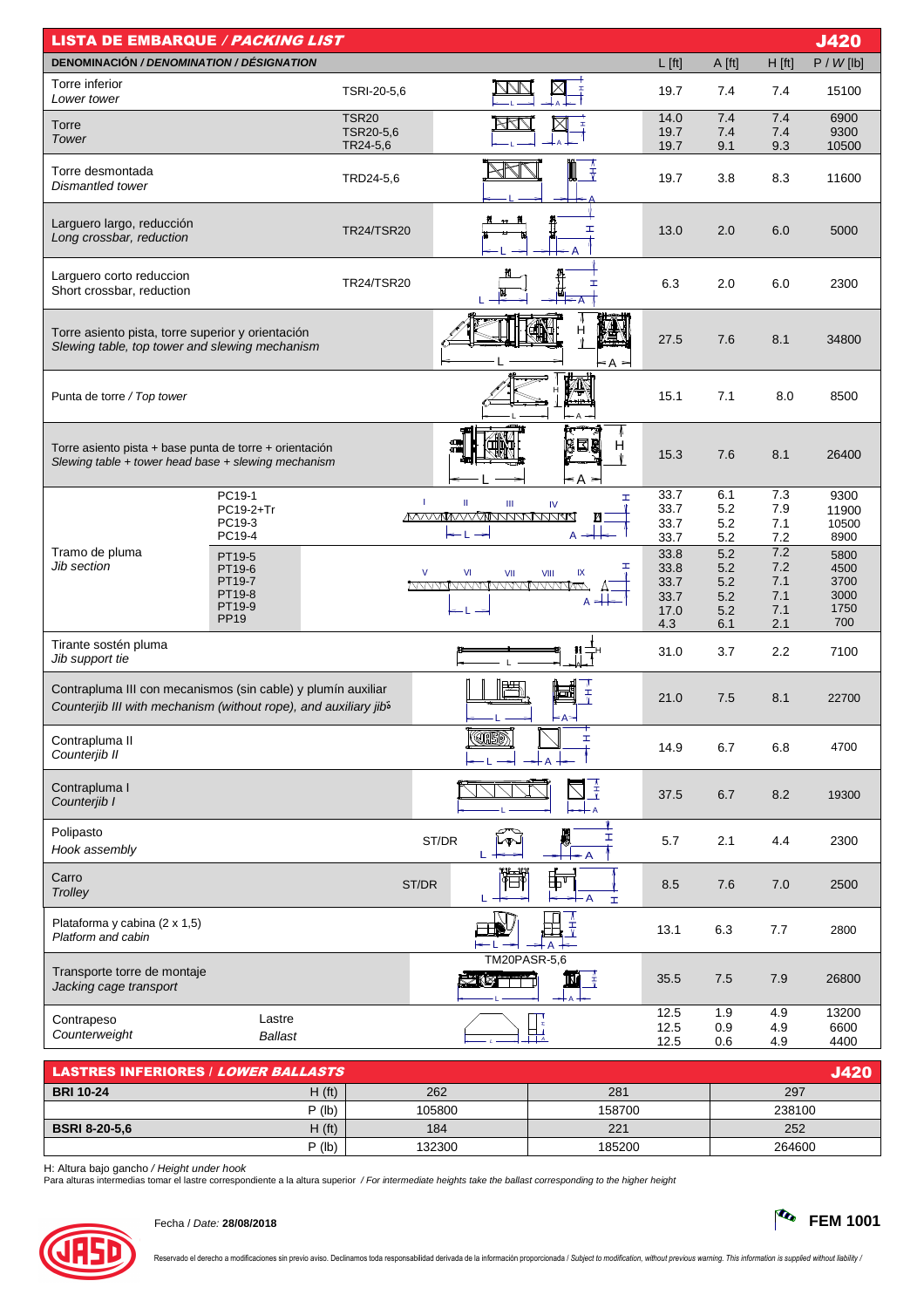| DENOMINACIÓN / DENOMINATION / DÉSIGNATION<br>$L$ [ft]<br>P / W [lb]<br>A [ft]<br>H [ft]<br>Torre inferior<br>TSRI-20-5,6<br>7.4<br>7.4<br>15100<br>19.7<br>Lower tower<br>7.4<br>7.4<br>6900<br><b>TSR20</b><br>14.0<br>Torre<br>TSR20-5,6<br>19.7<br>7.4<br>9300<br>7.4<br>Tower<br>TR24-5,6<br>19.7<br>9.1<br>9.3<br>10500<br>↨<br>Torre desmontada<br>TRD24-5,6<br>19.7<br>3.8<br>8.3<br>11600<br>Dismantled tower<br>Larguero largo, reducción<br>I<br><b>TR24/TSR20</b><br>13.0<br>2.0<br>6.0<br>5000<br>Long crossbar, reduction<br>n<br>M<br>Larguero corto reduccion<br><b>TR24/TSR20</b><br>6.3<br>2.0<br>6.0<br>2300<br>H<br>Short crossbar, reduction<br>۰A<br>н<br>Torre asiento pista, torre superior y orientación<br>27.5<br>7.6<br>8.1<br>34800<br>Slewing table, top tower and slewing mechanism<br>< A ><br>15.1<br>Punta de torre / Top tower<br>7.1<br>8.0<br>8500<br>Ξ8<br>Н<br>Torre asiento pista + base punta de torre + orientación<br>7.6<br>8.1<br>15.3<br>26400<br>Slewing table $+$ tower head base $+$ slewing mechanism<br>≤A ><br>6.1<br>7.3<br>33.7<br>PC19-1<br>9300<br>I<br>т<br>Ш<br>Ш<br>IV<br>PC19-2+Tr<br>33.7<br>5.2<br>7.9<br>11900<br><b>MAAAMAAAANAANAANAAN</b><br>И<br>PC19-3<br>33.7<br>5.2<br>7.1<br>10500<br>A<br>PC19-4<br>5.2<br>7.2<br>8900<br>33.7<br>7.2<br>Tramo de pluma<br>5.2<br>33.8<br>5800<br>PT19-5<br>Jib section<br>7.2<br>I.<br>33.8<br>5.2<br>4500<br>PT19-6<br>V<br>VI<br>VII<br>VIII<br>IX<br>7.1<br>3700<br>PT19-7<br>33.7<br>5.2<br><u>MVVVVVVVVVVVVVVVVVVVV</u><br>PT19-8<br>3000<br>7.1<br>5.2<br>33.7 | <b>LISTA DE EMBARQUE / PACKING LIST</b> |        |                          |  | <b>J420</b> |
|------------------------------------------------------------------------------------------------------------------------------------------------------------------------------------------------------------------------------------------------------------------------------------------------------------------------------------------------------------------------------------------------------------------------------------------------------------------------------------------------------------------------------------------------------------------------------------------------------------------------------------------------------------------------------------------------------------------------------------------------------------------------------------------------------------------------------------------------------------------------------------------------------------------------------------------------------------------------------------------------------------------------------------------------------------------------------------------------------------------------------------------------------------------------------------------------------------------------------------------------------------------------------------------------------------------------------------------------------------------------------------------------------------------------------------------------------------------------------------------------------------------------------------------------------------------------------|-----------------------------------------|--------|--------------------------|--|-------------|
|                                                                                                                                                                                                                                                                                                                                                                                                                                                                                                                                                                                                                                                                                                                                                                                                                                                                                                                                                                                                                                                                                                                                                                                                                                                                                                                                                                                                                                                                                                                                                                              |                                         |        |                          |  |             |
|                                                                                                                                                                                                                                                                                                                                                                                                                                                                                                                                                                                                                                                                                                                                                                                                                                                                                                                                                                                                                                                                                                                                                                                                                                                                                                                                                                                                                                                                                                                                                                              |                                         |        |                          |  |             |
|                                                                                                                                                                                                                                                                                                                                                                                                                                                                                                                                                                                                                                                                                                                                                                                                                                                                                                                                                                                                                                                                                                                                                                                                                                                                                                                                                                                                                                                                                                                                                                              |                                         |        |                          |  |             |
|                                                                                                                                                                                                                                                                                                                                                                                                                                                                                                                                                                                                                                                                                                                                                                                                                                                                                                                                                                                                                                                                                                                                                                                                                                                                                                                                                                                                                                                                                                                                                                              |                                         |        |                          |  |             |
|                                                                                                                                                                                                                                                                                                                                                                                                                                                                                                                                                                                                                                                                                                                                                                                                                                                                                                                                                                                                                                                                                                                                                                                                                                                                                                                                                                                                                                                                                                                                                                              |                                         |        |                          |  |             |
|                                                                                                                                                                                                                                                                                                                                                                                                                                                                                                                                                                                                                                                                                                                                                                                                                                                                                                                                                                                                                                                                                                                                                                                                                                                                                                                                                                                                                                                                                                                                                                              |                                         |        |                          |  |             |
|                                                                                                                                                                                                                                                                                                                                                                                                                                                                                                                                                                                                                                                                                                                                                                                                                                                                                                                                                                                                                                                                                                                                                                                                                                                                                                                                                                                                                                                                                                                                                                              |                                         |        |                          |  |             |
|                                                                                                                                                                                                                                                                                                                                                                                                                                                                                                                                                                                                                                                                                                                                                                                                                                                                                                                                                                                                                                                                                                                                                                                                                                                                                                                                                                                                                                                                                                                                                                              |                                         |        |                          |  |             |
|                                                                                                                                                                                                                                                                                                                                                                                                                                                                                                                                                                                                                                                                                                                                                                                                                                                                                                                                                                                                                                                                                                                                                                                                                                                                                                                                                                                                                                                                                                                                                                              |                                         |        |                          |  |             |
|                                                                                                                                                                                                                                                                                                                                                                                                                                                                                                                                                                                                                                                                                                                                                                                                                                                                                                                                                                                                                                                                                                                                                                                                                                                                                                                                                                                                                                                                                                                                                                              |                                         |        |                          |  |             |
|                                                                                                                                                                                                                                                                                                                                                                                                                                                                                                                                                                                                                                                                                                                                                                                                                                                                                                                                                                                                                                                                                                                                                                                                                                                                                                                                                                                                                                                                                                                                                                              |                                         |        |                          |  |             |
|                                                                                                                                                                                                                                                                                                                                                                                                                                                                                                                                                                                                                                                                                                                                                                                                                                                                                                                                                                                                                                                                                                                                                                                                                                                                                                                                                                                                                                                                                                                                                                              |                                         |        |                          |  |             |
|                                                                                                                                                                                                                                                                                                                                                                                                                                                                                                                                                                                                                                                                                                                                                                                                                                                                                                                                                                                                                                                                                                                                                                                                                                                                                                                                                                                                                                                                                                                                                                              |                                         |        |                          |  |             |
| 1750<br>7.1<br>5.2<br>17.0<br><b>PP19</b><br>700                                                                                                                                                                                                                                                                                                                                                                                                                                                                                                                                                                                                                                                                                                                                                                                                                                                                                                                                                                                                                                                                                                                                                                                                                                                                                                                                                                                                                                                                                                                             |                                         | PT19-9 | $A \neq \nightharpoonup$ |  |             |
| 4.3<br>6.1<br>2.1<br>Tirante sostén pluma<br>31.0<br>3.7<br>2.2<br>7100<br>Jib support tie                                                                                                                                                                                                                                                                                                                                                                                                                                                                                                                                                                                                                                                                                                                                                                                                                                                                                                                                                                                                                                                                                                                                                                                                                                                                                                                                                                                                                                                                                   |                                         |        |                          |  |             |
| Contrapluma III con mecanismos (sin cable) y plumín auxiliar<br>$\overline{\overline{Y}}$<br>21.0<br>7.5<br>8.1<br>22700<br>Counterjib III with mechanism (without rope), and auxiliary jib <sup>5</sup>                                                                                                                                                                                                                                                                                                                                                                                                                                                                                                                                                                                                                                                                                                                                                                                                                                                                                                                                                                                                                                                                                                                                                                                                                                                                                                                                                                     |                                         |        |                          |  |             |
| ((IB)<br>Contrapluma II<br>Ŧ,<br>14.9<br>6.7<br>6.8<br>4700<br>Counterjib II                                                                                                                                                                                                                                                                                                                                                                                                                                                                                                                                                                                                                                                                                                                                                                                                                                                                                                                                                                                                                                                                                                                                                                                                                                                                                                                                                                                                                                                                                                 |                                         |        |                          |  |             |
| $\frac{1}{4}$<br>Contrapluma I<br>8.2<br>37.5<br>6.7<br>19300<br>Counterjib I<br>· A                                                                                                                                                                                                                                                                                                                                                                                                                                                                                                                                                                                                                                                                                                                                                                                                                                                                                                                                                                                                                                                                                                                                                                                                                                                                                                                                                                                                                                                                                         |                                         |        |                          |  |             |
| Polipasto<br>月<br>I<br>ST/DR<br>2.1<br>2300<br>5.7<br>4.4<br>Lop<br>Hook assembly<br>← A                                                                                                                                                                                                                                                                                                                                                                                                                                                                                                                                                                                                                                                                                                                                                                                                                                                                                                                                                                                                                                                                                                                                                                                                                                                                                                                                                                                                                                                                                     |                                         |        |                          |  |             |
| 悔<br>ee<br>1⊟1<br>Carro<br>ST/DR<br>8.5<br>7.6<br>7.0<br>2500<br>Trolley<br>- A<br>L.<br>H                                                                                                                                                                                                                                                                                                                                                                                                                                                                                                                                                                                                                                                                                                                                                                                                                                                                                                                                                                                                                                                                                                                                                                                                                                                                                                                                                                                                                                                                                   |                                         |        |                          |  |             |
| Λ<br>Plataforma y cabina (2 x 1,5)<br>玉<br>13.1<br>6.3<br>7.7<br>2800<br>Platform and cabin<br>tΑ                                                                                                                                                                                                                                                                                                                                                                                                                                                                                                                                                                                                                                                                                                                                                                                                                                                                                                                                                                                                                                                                                                                                                                                                                                                                                                                                                                                                                                                                            |                                         |        |                          |  |             |
| <b>TM20PASR-5,6</b><br>Transporte torre de montaje<br><b>SAMTTI</b><br>35.5<br>7.5<br>7.9<br>剾<br>26800<br>Jacking cage transport                                                                                                                                                                                                                                                                                                                                                                                                                                                                                                                                                                                                                                                                                                                                                                                                                                                                                                                                                                                                                                                                                                                                                                                                                                                                                                                                                                                                                                            |                                         |        |                          |  |             |
| 12.5<br>1.9<br>4.9<br>13200<br>Lastre<br>Contrapeso<br>12.5<br>6600<br>0.9<br>4.9                                                                                                                                                                                                                                                                                                                                                                                                                                                                                                                                                                                                                                                                                                                                                                                                                                                                                                                                                                                                                                                                                                                                                                                                                                                                                                                                                                                                                                                                                            |                                         |        |                          |  |             |
| □⊥<br>Counterweight<br>Ballast<br>L<br>12.5<br>4400<br>0.6<br>4.9                                                                                                                                                                                                                                                                                                                                                                                                                                                                                                                                                                                                                                                                                                                                                                                                                                                                                                                                                                                                                                                                                                                                                                                                                                                                                                                                                                                                                                                                                                            |                                         |        |                          |  |             |

| <b>LASTRES INFERIORES / LOWER BALLASTS</b> |          |        |        |        |
|--------------------------------------------|----------|--------|--------|--------|
| <b>BRI 10-24</b>                           | H(ft)    | 262    | 281    | 297    |
|                                            | $P$ (lb) | 105800 | 158700 | 238100 |
| <b>BSRI 8-20-5.6</b>                       | H(ft)    | 184    | 221    | 252    |
|                                            | $P$ (lb) | 132300 | 185200 | 264600 |

H: Altura bajo gancho / Height under hook<br>Para alturas intermedias tomar el lastre correspondiente a la altura superior */ For intermediate heights take the ballast corresponding to the higher height*